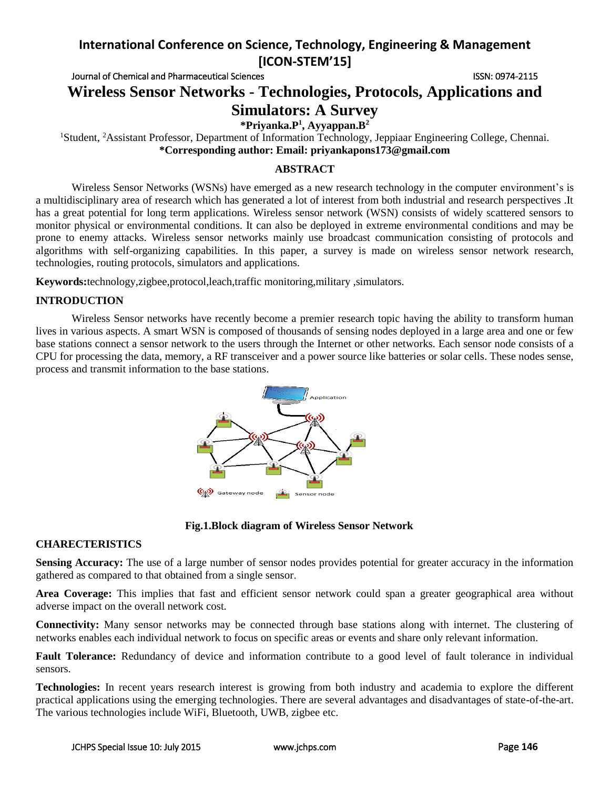Journal of Chemical and Pharmaceutical Sciences **ISSN: 0974-2115** ISSN: 0974-2115

# **Wireless Sensor Networks - Technologies, Protocols, Applications and Simulators: A Survey**

**\*Priyanka.P<sup>1</sup> , Ayyappan.B<sup>2</sup>**

<sup>1</sup>Student, <sup>2</sup>Assistant Professor, Department of Information Technology, Jeppiaar Engineering College, Chennai. **\*Corresponding author: Email: priyankapons173@gmail.com**

### **ABSTRACT**

Wireless Sensor Networks (WSNs) have emerged as a new research technology in the computer environment's is a multidisciplinary area of research which has generated a lot of interest from both industrial and research perspectives .It has a great potential for long term applications. Wireless sensor network (WSN) consists of widely scattered sensors to monitor physical or environmental conditions. It can also be deployed in extreme environmental conditions and may be prone to enemy attacks. Wireless sensor networks mainly use broadcast communication consisting of protocols and algorithms with self-organizing capabilities. In this paper, a survey is made on wireless sensor network research, technologies, routing protocols, simulators and applications.

**Keywords:**technology,zigbee,protocol,leach,traffic monitoring,military ,simulators.

### **INTRODUCTION**

Wireless Sensor networks have recently become a premier research topic having the ability to transform human lives in various aspects. A smart WSN is composed of thousands of sensing nodes deployed in a large area and one or few base stations connect a sensor network to the users through the Internet or other networks. Each sensor node consists of a CPU for processing the data, memory, a RF transceiver and a power source like batteries or solar cells. These nodes sense, process and transmit information to the base stations.



### **Fig.1.Block diagram of Wireless Sensor Network**

### **CHARECTERISTICS**

**Sensing Accuracy:** The use of a large number of sensor nodes provides potential for greater accuracy in the information gathered as compared to that obtained from a single sensor.

**Area Coverage:** This implies that fast and efficient sensor network could span a greater geographical area without adverse impact on the overall network cost.

**Connectivity:** Many sensor networks may be connected through base stations along with internet. The clustering of networks enables each individual network to focus on specific areas or events and share only relevant information.

**Fault Tolerance:** Redundancy of device and information contribute to a good level of fault tolerance in individual sensors.

**Technologies:** In recent years research interest is growing from both industry and academia to explore the different practical applications using the emerging technologies. There are several advantages and disadvantages of state-of-the-art. The various technologies include WiFi, Bluetooth, UWB, zigbee etc.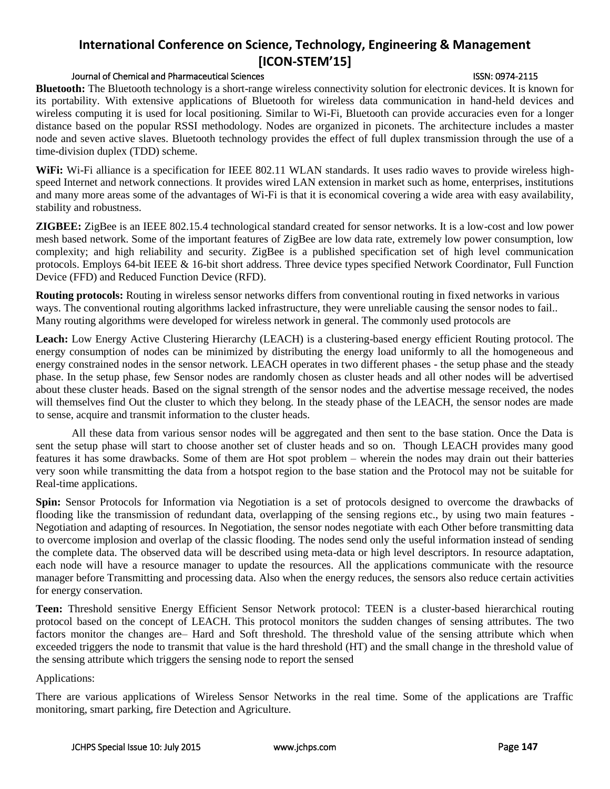### Journal of Chemical and Pharmaceutical Sciences ISSN: 0974-2115

**Bluetooth:** The Bluetooth technology is a short-range wireless connectivity solution for electronic devices. It is known for its portability. With extensive applications of Bluetooth for wireless data communication in hand-held devices and wireless computing it is used for local positioning. Similar to Wi-Fi, Bluetooth can provide accuracies even for a longer distance based on the popular RSSI methodology. Nodes are organized in piconets. The architecture includes a master node and seven active slaves. Bluetooth technology provides the effect of full duplex transmission through the use of a time-division duplex (TDD) scheme.

**WiFi:** Wi-Fi alliance is a specification for IEEE 802.11 WLAN standards. It uses radio waves to provide wireless highspeed [Internet](http://www.webopedia.com/TERM/I/Internet.html) and [network](http://www.webopedia.com/TERM/N/network.html) connections. It provides wired LAN extension in market such as home, enterprises, institutions and many more areas some of the advantages of Wi-Fi is that it is economical covering a wide area with easy availability, stability and robustness.

**ZIGBEE:** ZigBee is an IEEE 802.15.4 technological standard created for sensor networks. It is a low-cost and low power mesh based network. Some of the important features of ZigBee are low data rate, extremely low power consumption, low complexity; and high reliability and security. ZigBee is a published specification set of high level communication protocols. Employs 64-bit IEEE & 16-bit short address. Three device types specified Network Coordinator, Full Function Device (FFD) and Reduced Function Device (RFD).

**Routing protocols:** Routing in wireless sensor networks differs from conventional routing in fixed networks in various ways. The conventional routing algorithms lacked infrastructure, they were unreliable causing the sensor nodes to fail.. Many routing algorithms were developed for wireless network in general. The commonly used protocols are

**Leach:** Low Energy Active Clustering Hierarchy (LEACH) is a clustering-based energy efficient Routing protocol. The energy consumption of nodes can be minimized by distributing the energy load uniformly to all the homogeneous and energy constrained nodes in the sensor network. LEACH operates in two different phases - the setup phase and the steady phase. In the setup phase, few Sensor nodes are randomly chosen as cluster heads and all other nodes will be advertised about these cluster heads. Based on the signal strength of the sensor nodes and the advertise message received, the nodes will themselves find Out the cluster to which they belong. In the steady phase of the LEACH, the sensor nodes are made to sense, acquire and transmit information to the cluster heads.

All these data from various sensor nodes will be aggregated and then sent to the base station. Once the Data is sent the setup phase will start to choose another set of cluster heads and so on. Though LEACH provides many good features it has some drawbacks. Some of them are Hot spot problem – wherein the nodes may drain out their batteries very soon while transmitting the data from a hotspot region to the base station and the Protocol may not be suitable for Real-time applications.

**Spin:** Sensor Protocols for Information via Negotiation is a set of protocols designed to overcome the drawbacks of flooding like the transmission of redundant data, overlapping of the sensing regions etc., by using two main features - Negotiation and adapting of resources. In Negotiation, the sensor nodes negotiate with each Other before transmitting data to overcome implosion and overlap of the classic flooding. The nodes send only the useful information instead of sending the complete data. The observed data will be described using meta-data or high level descriptors. In resource adaptation, each node will have a resource manager to update the resources. All the applications communicate with the resource manager before Transmitting and processing data. Also when the energy reduces, the sensors also reduce certain activities for energy conservation.

**Teen:** Threshold sensitive Energy Efficient Sensor Network protocol: TEEN is a cluster-based hierarchical routing protocol based on the concept of LEACH. This protocol monitors the sudden changes of sensing attributes. The two factors monitor the changes are– Hard and Soft threshold. The threshold value of the sensing attribute which when exceeded triggers the node to transmit that value is the hard threshold (HT) and the small change in the threshold value of the sensing attribute which triggers the sensing node to report the sensed

Applications:

There are various applications of Wireless Sensor Networks in the real time. Some of the applications are Traffic monitoring, smart parking, fire Detection and Agriculture.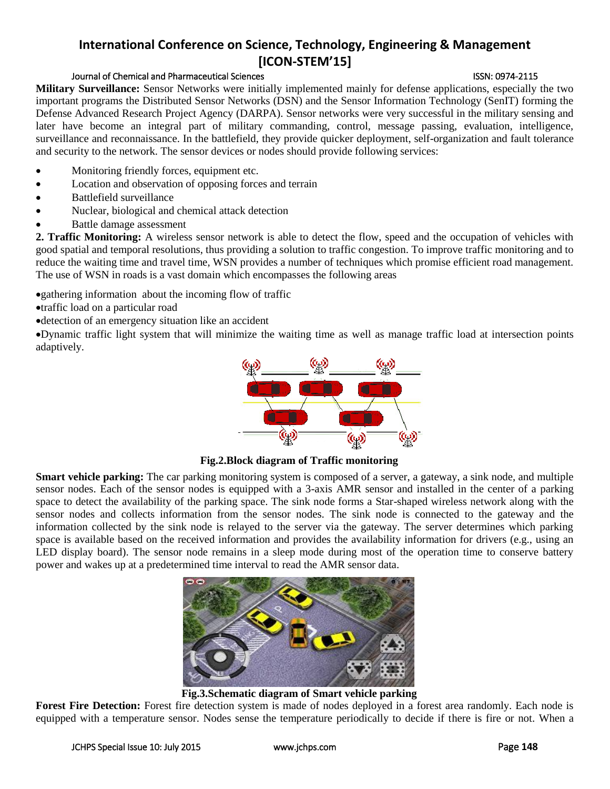### Journal of Chemical and Pharmaceutical Sciences ISSN: 0974-2115

**Military Surveillance:** Sensor Networks were initially implemented mainly for defense applications, especially the two important programs the Distributed Sensor Networks (DSN) and the Sensor Information Technology (SenIT) forming the Defense Advanced Research Project Agency (DARPA). Sensor networks were very successful in the military sensing and later have become an integral part of military commanding, control, message passing, evaluation, intelligence, surveillance and reconnaissance. In the battlefield, they provide quicker deployment, self-organization and fault tolerance and security to the network. The sensor devices or nodes should provide following services:

- Monitoring friendly forces, equipment etc.
- Location and observation of opposing forces and terrain
- Battlefield surveillance
- Nuclear, biological and chemical attack detection
- Battle damage assessment

**2. Traffic Monitoring:** A wireless sensor network is able to detect the flow, speed and the occupation of vehicles with good spatial and temporal resolutions, thus providing a solution to traffic congestion. To improve traffic monitoring and to reduce the waiting time and travel time, WSN provides a number of techniques which promise efficient road management. The use of WSN in roads is a vast domain which encompasses the following areas

gathering information about the incoming flow of traffic

- traffic load on a particular road
- detection of an emergency situation like an accident

Dynamic traffic light system that will minimize the waiting time as well as manage traffic load at intersection points adaptively.



**Fig.2.Block diagram of Traffic monitoring**

**Smart vehicle parking:** The car parking monitoring system is composed of a server, a gateway, a sink node, and multiple sensor nodes. Each of the sensor nodes is equipped with a 3-axis AMR sensor and installed in the center of a parking space to detect the availability of the parking space. The sink node forms a Star-shaped wireless network along with the sensor nodes and collects information from the sensor nodes. The sink node is connected to the gateway and the information collected by the sink node is relayed to the server via the gateway. The server determines which parking space is available based on the received information and provides the availability information for drivers (e.g., using an LED display board). The sensor node remains in a sleep mode during most of the operation time to conserve battery power and wakes up at a predetermined time interval to read the AMR sensor data.



**Fig.3.Schematic diagram of Smart vehicle parking**

**Forest Fire Detection:** Forest fire detection system is made of nodes deployed in a forest area randomly. Each node is equipped with a temperature sensor. Nodes sense the temperature periodically to decide if there is fire or not. When a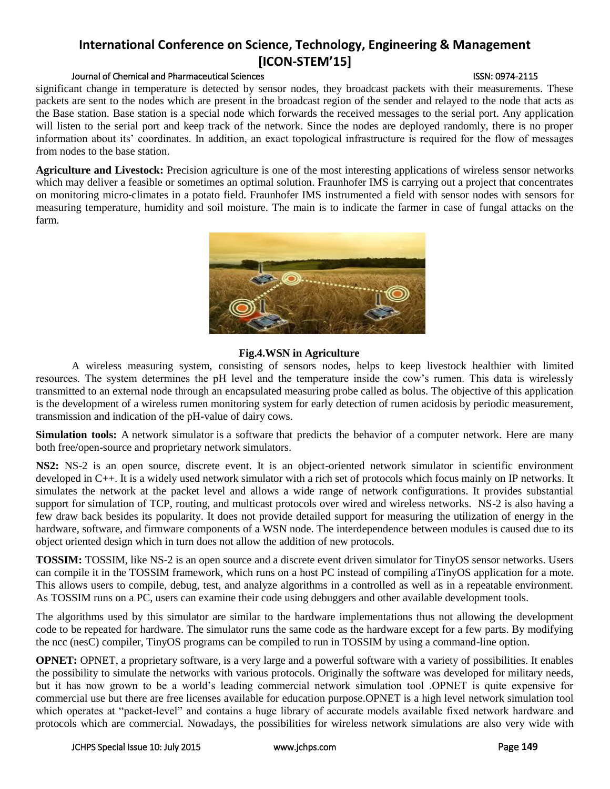### Journal of Chemical and Pharmaceutical Sciences ISSN: 0974-2115

significant change in temperature is detected by sensor nodes, they broadcast packets with their measurements. These packets are sent to the nodes which are present in the broadcast region of the sender and relayed to the node that acts as the Base station. Base station is a special node which forwards the received messages to the serial port. Any application will listen to the serial port and keep track of the network. Since the nodes are deployed randomly, there is no proper information about its' coordinates. In addition, an exact topological infrastructure is required for the flow of messages from nodes to the base station.

**Agriculture and Livestock:** Precision agriculture is one of the most interesting applications of wireless sensor networks which may deliver a feasible or sometimes an optimal solution. Fraunhofer IMS is carrying out a project that concentrates on monitoring micro-climates in a potato field. Fraunhofer IMS instrumented a field with sensor nodes with sensors for measuring temperature, humidity and soil moisture. The main is to indicate the farmer in case of fungal attacks on the farm.



### **Fig.4.WSN in Agriculture**

A wireless measuring system, consisting of sensors nodes, helps to keep livestock healthier with limited resources. The system determines the pH level and the temperature inside the cow's rumen. This data is wirelessly transmitted to an external node through an encapsulated measuring probe called as bolus. The objective of this application is the development of a wireless rumen monitoring system for early detection of rumen acidosis by periodic measurement, transmission and indication of the pH-value of dairy cows.

**Simulation tools:** A network simulator is a [software](http://en.wikipedia.org/wiki/Software) that predicts the behavior of a [computer network.](http://en.wikipedia.org/wiki/Computer_network) Here are many both free/open-source and proprietary network simulators.

**NS2:** NS-2 is an open source, discrete event. It is an object-oriented network simulator in scientific environment developed in C++. It is a widely used network simulator with a rich set of protocols which focus mainly on IP networks. It simulates the network at the packet level and allows a wide range of network configurations. It provides substantial support for simulation of TCP, routing, and multicast protocols over wired and wireless networks. NS-2 is also having a few draw back besides its popularity. It does not provide detailed support for measuring the utilization of energy in the hardware, software, and firmware components of a WSN node. The interdependence between modules is caused due to its object oriented design which in turn does not allow the addition of new protocols.

**TOSSIM:** TOSSIM, like NS-2 is an open source and a discrete event driven simulator for TinyOS sensor networks. Users can compile it in the TOSSIM framework, which runs on a host PC instead of compiling aTinyOS application for a mote. This allows users to compile, debug, test, and analyze algorithms in a controlled as well as in a repeatable environment. As TOSSIM runs on a PC, users can examine their code using debuggers and other available development tools.

The algorithms used by this simulator are similar to the hardware implementations thus not allowing the development code to be repeated for hardware. The simulator runs the same code as the hardware except for a few parts. By modifying the ncc (nesC) compiler, TinyOS programs can be compiled to run in TOSSIM by using a command-line option.

**OPNET:** OPNET, a proprietary software, is a very large and a powerful software with a variety of possibilities. It enables the possibility to simulate the networks with various protocols. Originally the software was developed for military needs, but it has now grown to be a world's leading commercial network simulation tool .OPNET is quite expensive for commercial use but there are free licenses available for education purpose.OPNET is a high level network simulation tool which operates at "packet-level" and contains a huge library of accurate models available fixed network hardware and protocols which are commercial. Nowadays, the possibilities for wireless network simulations are also very wide with